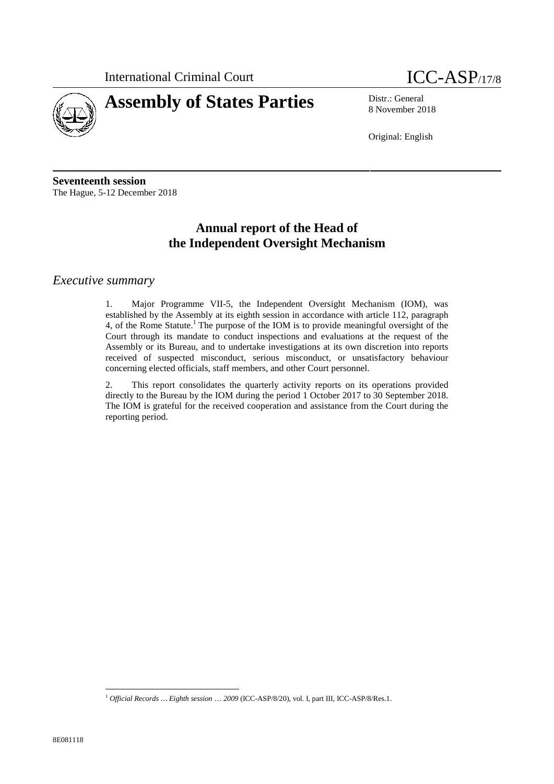



8 November 2018

Original: English

**Seventeenth session** The Hague, 5-12 December 2018

# **Annual report of the Head of the Independent Oversight Mechanism**

## *Executive summary*

1. Major Programme VII-5, the Independent Oversight Mechanism (IOM), was established by the Assembly at its eighth session in accordance with article 112, paragraph 4, of the Rome Statute.<sup>1</sup> The purpose of the IOM is to provide meaningful oversight of the Court through its mandate to conduct inspections and evaluations at the request of the Assembly or its Bureau, and to undertake investigations at its own discretion into reports received of suspected misconduct, serious misconduct, or unsatisfactory behaviour concerning elected officials, staff members, and other Court personnel.

2. This report consolidates the quarterly activity reports on its operations provided directly to the Bureau by the IOM during the period 1 October 2017 to 30 September 2018. The IOM is grateful for the received cooperation and assistance from the Court during the reporting period.

<sup>1</sup> *Official Records … Eighth session* … *2009* (ICC-ASP/8/20), vol. I, part III, ICC-ASP/8/Res.1.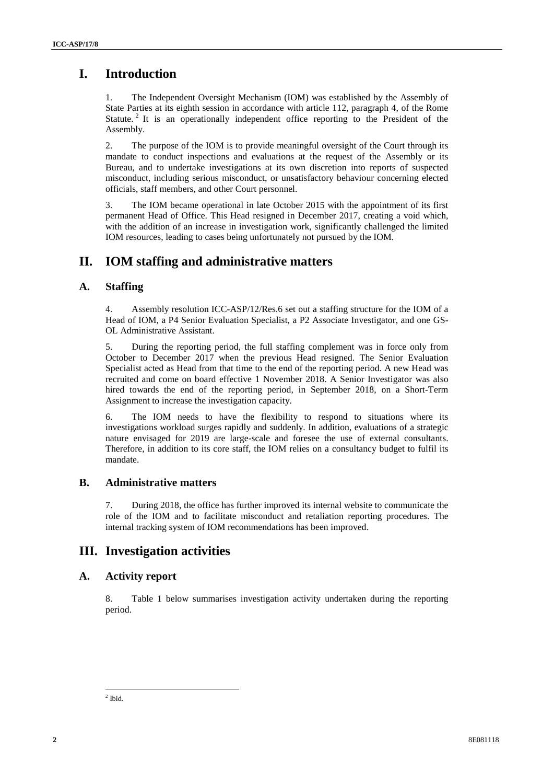# **I. Introduction**

1. The Independent Oversight Mechanism (IOM) was established by the Assembly of State Parties at its eighth session in accordance with article 112, paragraph 4, of the Rome Statute.<sup>2</sup> It is an operationally independent office reporting to the President of the Assembly.

2. The purpose of the IOM is to provide meaningful oversight of the Court through its mandate to conduct inspections and evaluations at the request of the Assembly or its Bureau, and to undertake investigations at its own discretion into reports of suspected misconduct, including serious misconduct, or unsatisfactory behaviour concerning elected officials, staff members, and other Court personnel.

3. The IOM became operational in late October 2015 with the appointment of its first permanent Head of Office. This Head resigned in December 2017, creating a void which, with the addition of an increase in investigation work, significantly challenged the limited IOM resources, leading to cases being unfortunately not pursued by the IOM.

## **II. IOM staffing and administrative matters**

### **A. Staffing**

4. Assembly resolution ICC-ASP/12/Res.6 set out a staffing structure for the IOM of a Head of IOM, a P4 Senior Evaluation Specialist, a P2 Associate Investigator, and one GS- OL Administrative Assistant.

**1.** Introduction<br>
1. Introduction<br>
1. Some Passing School (consider Machamian Kith rate extractions) when  $\lambda$  accounts for the set of the set of the set of the set of the set of the set of the set of the set of the set 5. During the reporting period, the full staffing complement was in force only from October to December 2017 when the previous Head resigned. The Senior Evaluation Specialist acted as Head from that time to the end of the reporting period. A new Head was recruited and come on board effective 1 November 2018. A Senior Investigator was also hired towards the end of the reporting period, in September 2018, on a Short-Term Assignment to increase the investigation capacity.

6. The IOM needs to have the flexibility to respond to situations where its investigations workload surges rapidly and suddenly. In addition, evaluations of a strategic nature envisaged for 2019 are large-scale and foresee the use of external consultants. Therefore, in addition to its core staff, the IOM relies on a consultancy budget to fulfil its mandate.

## **B. Administrative matters**

7. During 2018, the office has further improved its internal website to communicate the role of the IOM and to facilitate misconduct and retaliation reporting procedures. The internal tracking system of IOM recommendations has been improved.

## **III. Investigation activities**

### **A. Activity report**

8. Table 1 below summarises investigation activity undertaken during the reporting period.

<sup>2</sup> Ibid.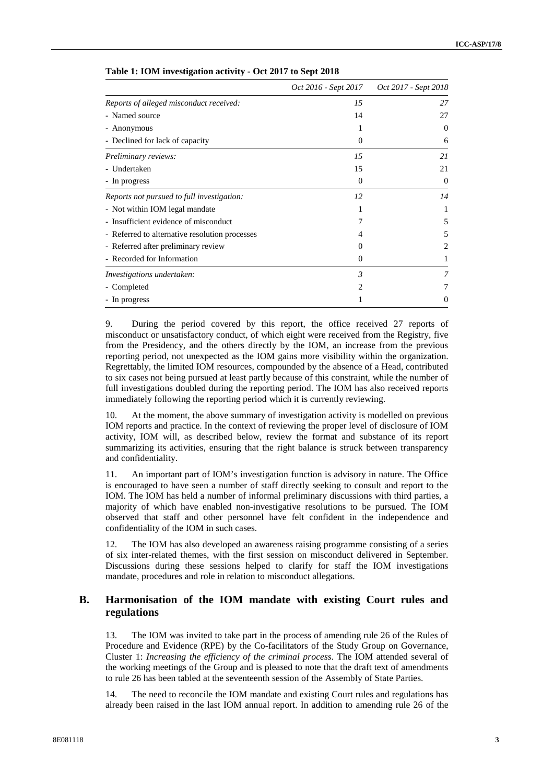|                                                | Oct 2016 - Sept 2017 | Oct 2017 - Sept 2018 |
|------------------------------------------------|----------------------|----------------------|
| Reports of alleged misconduct received:        | 15                   | 27                   |
| - Named source                                 | 14                   | 27                   |
| - Anonymous                                    | 1                    | $\theta$             |
| - Declined for lack of capacity                | 0                    | 6                    |
| Preliminary reviews:                           | 15                   | 21                   |
| - Undertaken                                   | 15                   | 21                   |
| - In progress                                  | 0                    | $\theta$             |
| Reports not pursued to full investigation:     | 12                   | 14                   |
| - Not within IOM legal mandate                 |                      |                      |
| - Insufficient evidence of misconduct          |                      | 5                    |
| - Referred to alternative resolution processes | 4                    | 5                    |
| - Referred after preliminary review            | $\mathbf{0}$         |                      |
| - Recorded for Information                     | 0                    |                      |
| Investigations undertaken:                     | 3                    |                      |
| - Completed                                    | $\mathfrak{D}$       |                      |
| - In progress                                  |                      |                      |

**Table 1: IOM investigation activity - Oct 2017 to Sept 2018**

9. During the period covered by this report, the office received 27 reports of misconduct or unsatisfactory conduct, of which eight were received from the Registry, five from the Presidency, and the others directly by the IOM, an increase from the previous reporting period, not unexpected as the IOM gains more visibility within the organization. Regrettably, the limited IOM resources, compounded by the absence of a Head, contributed to six cases not being pursued at least partly because of this constraint, while the number of full investigations doubled during the reporting period. The IOM has also received reports immediately following the reporting period which it is currently reviewing.

10. At the moment, the above summary of investigation activity is modelled on previous IOM reports and practice. In the context of reviewing the proper level of disclosure of IOM activity, IOM will, as described below, review the format and substance of its report summarizing its activities, ensuring that the right balance is struck between transparency and confidentiality.

11. An important part of IOM's investigation function is advisory in nature. The Office is encouraged to have seen a number of staff directly seeking to consult and report to the IOM. The IOM has held a number of informal preliminary discussions with third parties, a majority of which have enabled non-investigative resolutions to be pursued. The IOM observed that staff and other personnel have felt confident in the independence and confidentiality of the IOM in such cases.

12. The IOM has also developed an awareness raising programme consisting of a series of six inter-related themes, with the first session on misconduct delivered in September. Discussions during these sessions helped to clarify for staff the IOM investigations mandate, procedures and role in relation to misconduct allegations.

### **B. Harmonisation of the IOM mandate with existing Court rules and regulations**

13. The IOM was invited to take part in the process of amending rule 26 of the Rules of Procedure and Evidence (RPE) by the Co-facilitators of the Study Group on Governance, Cluster 1: *Increasing the efficiency of the criminal process*. The IOM attended several of the working meetings of the Group and is pleased to note that the draft text of amendments to rule 26 has been tabled at the seventeenth session of the Assembly of State Parties.

14. The need to reconcile the IOM mandate and existing Court rules and regulations has already been raised in the last IOM annual report. In addition to amending rule 26 of the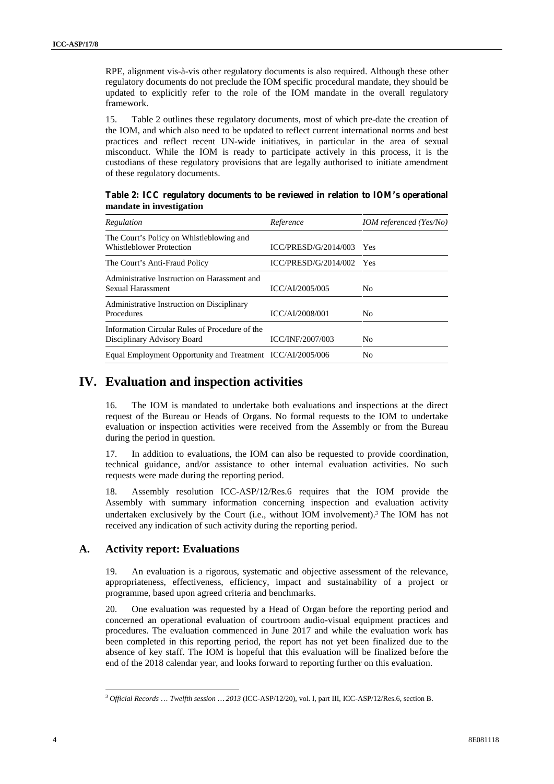|    | RPE, alignment vis-à-vis other regulatory documents is also required. Although these other<br>regulatory documents do not preclude the IOM specific procedural mandate, they should be<br>updated to explicitly refer to the role of the IOM mandate in the overall regulatory<br>framework.                                                                                                                                                                                                                                                                   |                            |                         |  |
|----|----------------------------------------------------------------------------------------------------------------------------------------------------------------------------------------------------------------------------------------------------------------------------------------------------------------------------------------------------------------------------------------------------------------------------------------------------------------------------------------------------------------------------------------------------------------|----------------------------|-------------------------|--|
|    | Table 2 outlines these regulatory documents, most of which pre-date the creation of<br>15.<br>the IOM, and which also need to be updated to reflect current international norms and best<br>practices and reflect recent UN-wide initiatives, in particular in the area of sexual<br>misconduct. While the IOM is ready to participate actively in this process, it is the<br>custodians of these regulatory provisions that are legally authorised to initiate amendment<br>of these regulatory documents.                                                    |                            |                         |  |
|    | Table 2: ICC regulatory documents to be reviewed in relation to IOM's operational<br>mandate in investigation                                                                                                                                                                                                                                                                                                                                                                                                                                                  |                            |                         |  |
|    | Regulation                                                                                                                                                                                                                                                                                                                                                                                                                                                                                                                                                     | Reference                  | IOM referenced (Yes/No) |  |
|    | The Court's Policy on Whistleblowing and<br>Whistleblower Protection                                                                                                                                                                                                                                                                                                                                                                                                                                                                                           | $ICC/PRESD/G/2014/003$ Yes |                         |  |
|    | The Court's Anti-Fraud Policy                                                                                                                                                                                                                                                                                                                                                                                                                                                                                                                                  | $ICC/PRESD/G/2014/002$ Yes |                         |  |
|    | Administrative Instruction on Harassment and<br>Sexual Harassment                                                                                                                                                                                                                                                                                                                                                                                                                                                                                              | ICC/AI/2005/005            | No                      |  |
|    | Administrative Instruction on Disciplinary<br>Procedures                                                                                                                                                                                                                                                                                                                                                                                                                                                                                                       | ICC/AI/2008/001            | N <sub>o</sub>          |  |
|    | Information Circular Rules of Procedure of the<br>Disciplinary Advisory Board                                                                                                                                                                                                                                                                                                                                                                                                                                                                                  | ICC/INF/2007/003           | N <sub>o</sub>          |  |
|    | Equal Employment Opportunity and Treatment ICC/AI/2005/006                                                                                                                                                                                                                                                                                                                                                                                                                                                                                                     |                            | No.                     |  |
|    | The IOM is mandated to undertake both evaluations and inspections at the direct<br>16.                                                                                                                                                                                                                                                                                                                                                                                                                                                                         |                            |                         |  |
|    | request of the Bureau or Heads of Organs. No formal requests to the IOM to undertake<br>evaluation or inspection activities were received from the Assembly or from the Bureau<br>during the period in question.<br>In addition to evaluations, the IOM can also be requested to provide coordination,<br>17.<br>technical guidance, and/or assistance to other internal evaluation activities. No such<br>requests were made during the reporting period.                                                                                                     |                            |                         |  |
|    | Assembly resolution ICC-ASP/12/Res.6 requires that the IOM provide the<br>18.<br>Assembly with summary information concerning inspection and evaluation activity<br>undertaken exclusively by the Court (i.e., without IOM involvement). <sup>3</sup> The IOM has not<br>received any indication of such activity during the reporting period.                                                                                                                                                                                                                 |                            |                         |  |
| A. | <b>Activity report: Evaluations</b>                                                                                                                                                                                                                                                                                                                                                                                                                                                                                                                            |                            |                         |  |
|    | An evaluation is a rigorous, systematic and objective assessment of the relevance,<br>19.<br>appropriateness, effectiveness, efficiency, impact and sustainability of a project or<br>programme, based upon agreed criteria and benchmarks.                                                                                                                                                                                                                                                                                                                    |                            |                         |  |
|    | 20.<br>One evaluation was requested by a Head of Organ before the reporting period and<br>concerned an operational evaluation of courtroom audio-visual equipment practices and<br>procedures. The evaluation commenced in June 2017 and while the evaluation work has<br>been completed in this reporting period, the report has not yet been finalized due to the<br>absence of key staff. The IOM is hopeful that this evaluation will be finalized before the<br>end of the 2018 calendar year, and looks forward to reporting further on this evaluation. |                            |                         |  |
|    | <sup>3</sup> Official Records  Twelfth session  2013 (ICC-ASP/12/20), vol. I, part III, ICC-ASP/12/Res.6, section B.                                                                                                                                                                                                                                                                                                                                                                                                                                           |                            |                         |  |

**Table 2: ICC regulatory documents to be reviewed in relation to IOM's operational mandate in investigation**

## **IV. Evaluation and inspection activities**

### **A. Activity report: Evaluations**

<sup>3</sup> *Official Records* … *Twelfth session … 2013* (ICC-ASP/12/20), vol. I, part III, ICC-ASP/12/Res.6, section B.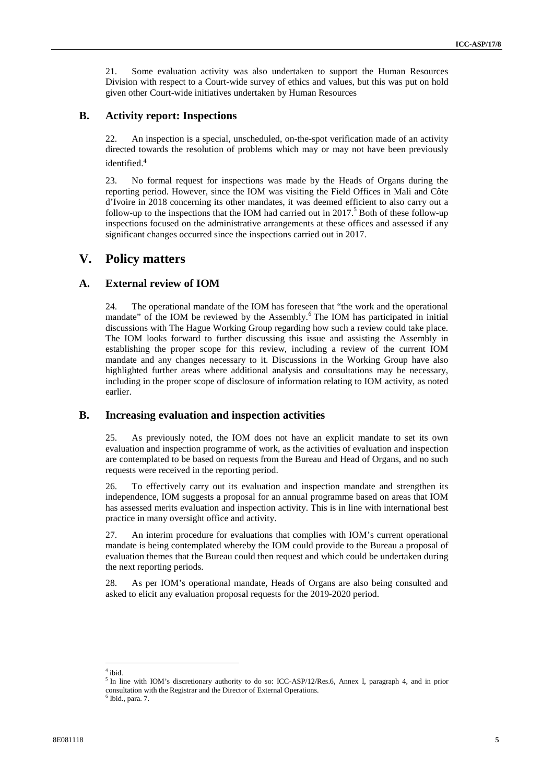21. Some evaluation activity was also undertaken to support the Human Resources Division with respect to a Court-wide survey of ethics and values, but this was put on hold given other Court-wide initiatives undertaken by Human Resources

#### **B. Activity report: Inspections**

22. An inspection is a special, unscheduled, on-the-spot verification made of an activity directed towards the resolution of problems which may or may not have been previously identified.<sup>4</sup>

23. No formal request for inspections was made by the Heads of Organs during the reporting period. However, since the IOM was visiting the Field Offices in Mali and Côte d'Ivoire in 2018 concerning its other mandates, it was deemed efficient to also carry out a follow-up to the inspections that the IOM had carried out in  $2017<sup>5</sup>$  Both of these follow-up inspections focused on the administrative arrangements at these offices and assessed if any significant changes occurred since the inspections carried out in 2017.

### **V. Policy matters**

#### **A. External review of IOM**

24. The operational mandate of the IOM has foreseen that "the work and the operational mandate" of the IOM be reviewed by the Assembly.*<sup>6</sup>* The IOM has participated in initial discussions with The Hague Working Group regarding how such a review could take place. The IOM looks forward to further discussing this issue and assisting the Assembly in establishing the proper scope for this review, including a review of the current IOM mandate and any changes necessary to it. Discussions in the Working Group have also highlighted further areas where additional analysis and consultations may be necessary, including in the proper scope of disclosure of information relating to IOM activity, as noted earlier.

#### **B. Increasing evaluation and inspection activities**

25. As previously noted, the IOM does not have an explicit mandate to set its own evaluation and inspection programme of work, as the activities of evaluation and inspection are contemplated to be based on requests from the Bureau and Head of Organs, and no such requests were received in the reporting period.

26. To effectively carry out its evaluation and inspection mandate and strengthen its independence, IOM suggestsa proposal for an annual programme based on areas that IOM has assessed merits evaluation and inspection activity. This is in line with international best practice in many oversight office and activity.

27. An interim procedure for evaluations that complies with IOM's current operational mandate is being contemplated whereby the IOM could provide to the Bureau a proposal of evaluation themes that the Bureau could then request and which could be undertaken during the next reporting periods.

28. As per IOM's operational mandate, Heads of Organs are also being consulted and asked to elicit any evaluation proposal requests for the 2019-2020 period.

 $4$  ibid.

<sup>&</sup>lt;sup>5</sup> In line with IOM's discretionary authority to do so: ICC-ASP/12/Res.6, Annex I, paragraph 4, and in prior consultation with the Registrar and the Director of External Operations. <sup>6</sup> Ibid., para. 7.